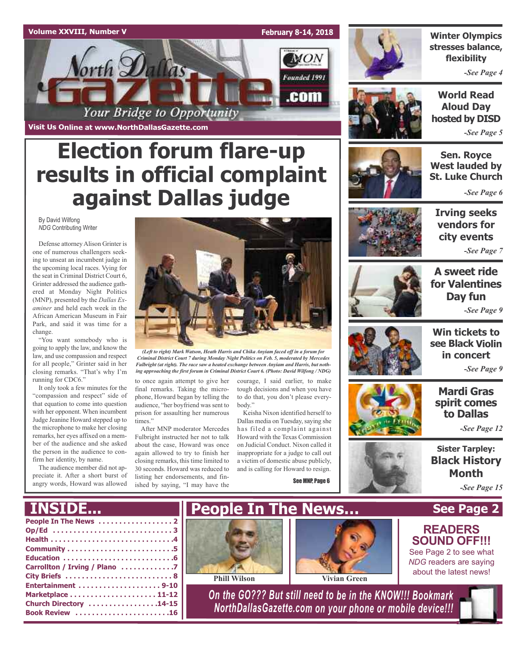### **Volume XXVIII, Number V February 8-14, 2018 MON** orth Dallas Founded 1991 .com Your Bridge to Opportunity

**Election forum flare-up**

**results in official complaint**

**against Dallas judge**

**Visit Us Online at www.NorthDallasGazette.com**



**Winter Olympics stresses balance, flexibility**

*-See Page 4*

**World Read Aloud Day hosted by DISD**

*-See Page 5*

**Sen. Royce West lauded by St. Luke Church**

*-See Page 6*

By David Wilfong *NDG* Contributing Writer

Defense attorney Alison Grinter is one of numerous challengers seeking to unseat an incumbent judge in the upcoming local races. Vying for the seat in Criminal District Court 6, Grinter addressed the audience gathered at Monday Night Politics (MNP), presented by the *Dallas Examiner* and held each week in the African American Museum in Fair Park, and said it was time for a change.

"You want somebody who is going to apply the law, and know the law, and use compassion and respect for all people," Grinter said in her closing remarks. "That's why I'm running for CDC6."

It only took a few minutes for the "compassion and respect" side of that equation to come into question with her opponent. When incumbent Judge Jeanine Howard stepped up to the microphone to make her closing remarks, her eyes affixed on a member of the audience and she asked the person in the audience to confirm her identity, by name.

The audience member did not appreciate it. After a short burst of angry words, Howard was allowed



*(Left to right) Mark Watson, Heath Harris and Chika Anyiam faced off in a forum for Criminal District Court 7 during Monday Night Politics on Feb. 5, moderated by Mercedes Fulbright (at right). The race saw a heated exchange between Anyiam and Harris, but nothing approaching the first forum in Criminal District Court 6. (Photo: David Wilfong / NDG)*

to once again attempt to give her final remarks. Taking the microphone, Howard began by telling the audience, "her boyfriend was sent to prison for assaulting her numerous times."

After MNP moderator Mercedes Fulbright instructed her not to talk about the case, Howard was once again allowed to try to finish her closing remarks, this time limited to 30 seconds. Howard was reduced to listing her endorsements, and finished by saying, "I may have the

courage, I said earlier, to make tough decisions and when you have to do that, you don't please everybody."

Keisha Nixon identified herself to Dallas media on Tuesday, saying she has filed a complaint against Howard with the Texas Commission on Judicial Conduct. Nixon called it inappropriate for a judge to call out a victim of domestic abuse publicly, and is calling for Howard to resign.

See MNP, Page 6



**Irving seeks vendors for city events**

*-See Page 7*



**A sweet ride for Valentines Day fun** *-See Page 9*



**Win tickets to in concert**

### **Mardi Gras spirit comes to Dallas**

*-See Page 12*

**Sister Tarpley: Black History Month**

**See Page 2**

**READERS SOUND OFF!!!** See Page 2 to see what *NDG* readers are saying about the latest news!

*-See Page 15*

### **INSIDE...**

| Carrollton / Irving / Plano 7 |
|-------------------------------|
|                               |
|                               |
|                               |
| Church Directory 14-15        |
| Book Review 16                |
|                               |





**Phill Wilson Vivian Green**

*On the GO??? But still need to be in the KNOW!!! Bookmark NorthDallasGazette.com on your phone or mobile device!!!*



**see Black Violin**

*-See Page 9*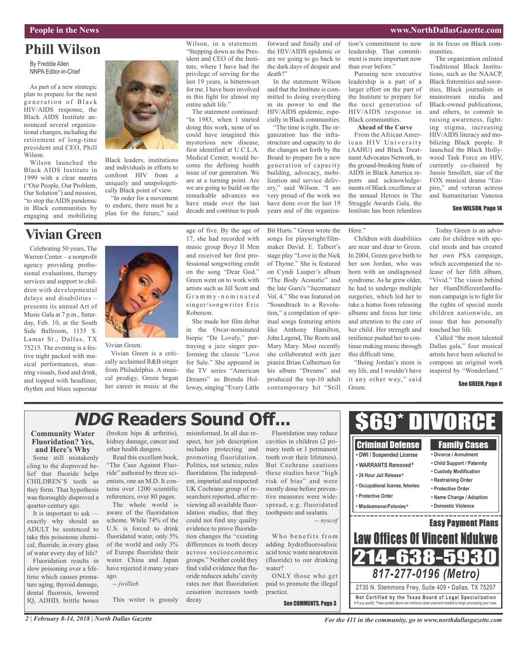### **People in the News www.NorthDallasGazette.com**

## **Phill Wilson**

By Freddie Allen NNPA Editor-in-Chief

As part of a new strategic plan to prepare for the next generation of Black HIV/AIDS response, the Black AIDS Institute announced several organizational changes, including the retirement of long-time president and CEO, Phill Wilson.

Wilson launched the Black AIDS Institute in 1999 with a clear mantra ("Our People, Our Problem, Our Solution") and mission, "to stop the AIDS pandemic in Black communities by engaging and mobilizing

## **Vivian Green**

Celebrating 50 years, The Warren Center – a nonprofit agency providing professional evaluations, therapy services and support to children with developmental delays and disabilities – presents its annual Art of Music Gala at 7 p.m., Saturday, Feb. 10, at the South Side Ballroom, 1135 S. Lamar St., Dallas, TX 75215. The evening is a festive night packed with musical performances, stunning visuals, food and drink, and topped with headliner, rhythm and blues superstar



Black leaders, institutions and individuals in efforts to confront HIV from a uniquely and unapologetically Black point of view.

"In order for a movement to endure, there must be a plan for the future," said

> age of five. By the age of 17, she had recorded with music group Boyz II Men and received her first professional songwriting credit on the song "Dear God." Green went on to work with artists such as Jill Scott and G r a m m y - n o m i n a t e d singer/songwriter Eric Roberson.

Wilson, in a statement. "Stepping down as the President and CEO of the Institute, where I have had the privilege of serving for the last 19 years, is bittersweet for me. I have been involved in this fight for almost my

The statement continued: "In 1983, when I started doing this work, none of us could have imagined this mysterious new disease, first identified at U.C.L.A. Medical Center, would become the defining health issue of our generation. We are at a turning point. Are we are going to build on the remarkable advances we have made over the last decade and continue to push

entire adult life."

She made her film debut in the Oscar-nominated biopic "De Lovely," portraying a jazz singer performing the classic "Love for Sale." She appeared in the TV series "American Dreams" as Brenda Holloway, singing "Every Little

forward and finally end of the HIV/AIDS epidemic or are we going to go back to the dark days of despair and death?"

In the statement Wilson said that the Institute is committed to doing everything in its power to end the HIV/AIDS epidemic, especially in Black communities.

"The time is right. The organization has the infrastructure and capacity to do the changes set forth by the Board to prepare for a new generation of capacity building, advocacy, mobilization and service delivery," said Wilson. "I am very proud of the work we have done over the last 19 years and of the organiza-

Bit Hurts." Green wrote the songs for playwright/filmmaker David. E. Talbert's stage play "Love in the Nick of Thyme." She is featured on Cyndi Lauper's album "The Body Acoustic" and the late Guru's "Jazzmatazz Vol. 4." She was featured on "Soundtrack to a Revolution," a compilation of spiritual songs featuring artists like Anthony Hamilton, John Legend, The Roots and Mary Mary. Most recently she collaborated with jazz pianist Brian Culbertson for his album "Dreams" and produced the top-10 adult contemporary hit "Still

tion's commitment to new leadership. That commitment is more important now than ever before."

Pursuing new executive leadership is a part of a larger effort on the part of the Institute to prepare for the next generation of HIV/AIDS response in Black communities.

**Ahead of the Curve**

From the African American HIV University (AAHU) and Black TreatmentAdvocates Network, to the ground-breaking State of AIDS in Black America reports and acknowledgements of Black excellence at the annual Heroes in The Struggle Awards Gala, the Institute has been relentless

Here."

munities. The organization enlisted Traditional Black Institutions, such as the NAACP,

in its focus on Black com-

Black fraternities and sororities, Black journalists in mainstream media and Black-owned publications, and others, to commit to raising awareness, fighting stigma, increasing HIV/AIDS literacy and mobilizing Black people. It launched the Black Hollywood Task Force on HIV, currently co-chaired by Jussie Smollett, star of the FOX musical drama "Empire," and veteran actress and humanitarian Vanessa

#### See WILSON, Page 14

Today Green is an advocate for children with special needs and has created her own PSA campaign, which accompanied the release of her fifth album, "Vivid." The vision behind her #IamDifferentIamHuman campaign is to fight for the rights of special needs children nationwide, an issue that has personally touched her life.

Called "the most talented Dallas gala," four musical artists have been selected to compose an original work inspired by "Wonderland."

Family Cases **• Divorce / Annulment • Child Support / Paternity • Custody Modification • Restraining Order • Protective Order • Name Change / Adoption • Domestic Violence**

Easy Payment Plans

\_\_\_\_\_\_\_\_\_\_\_\_\_

#### See GREEN, Page 8

## **NDG Readers Sound Off...**

### **Community Water Fluoridation? Yes, and Here's Why**

Some still mistakenly cling to the disproved belief that fluoride helps CHILDREN'S teeth as they form. That hypothesis was thoroughly disproved a quarter-century ago.

It is important to ask exactly why should an ADULT be sentenced to take this poisonous chemical, fluoride, in every glass of water every day of life?

Fluoridation results in slow poisoning over a lifetime which causes premature aging, thyroid damage, dental fluorosis, lowered IQ, ADHD, brittle bones

(broken hips & arthritis), kidney damage, cancer and other health dangers.

Vivian Green is a critically acclaimed R&B singer from Philadelphia. A musical prodigy, Green began her career in music at the

Vivian Green.

Read this excellent book, "The Case Against Fluoride" authored by three scientists, one an M.D. It contains over 1200 scientific references, over 80 pages.

The whole world is aware of the fluoridation scheme. While 74% of the U.S. is forced to drink fluoridated water, only 5% of the world and only 3% of Europe fluoridate their water. China and Japan have rejected it many years ago.

*-- jwillie6*

This writer is grossly decay

fluoridation. The independent, impartial and respected UK Cochrane group of researchers reported, after reviewing all available fluoridation studies, that they could not find any quality evidence to prove fluoridation changes the "existing differences in tooth decay across socioeconomic groups." Neither could they find valid evidence that fluoride reduces adults' cavity

rates nor that fluoridation cessation increases tooth

cavities in children (2 primary teeth or 1 permanent tooth over their lifetimes). toothpaste and sealants.

Who benefits from adding hydrofluorosalisic acid toxic waste neurotoxin (fluoride) to our drinking water?

ONLY those who get paid to promote the illegal practice.

See COMMENTS, Page 3

Children with disabilities are near and dear to Green. In 2004, Green gave birth to her son Jordan, who was born with an undiagnosed syndrome.As he grew older, he had to undergo multiple surgeries, which led her to take a hiatus from releasing albums and focus her time and attention to the care of her child. Her strength and resilience pushed her to continue making music through this difficult time.

"Being Jordan's mom is my life, and I wouldn't have it any other way," said Green.

> Criminal Defense **• DWI / Suspended License • WARRANTS Removed ¥ • 24 Hour Jail Release ¥ • Occupational license, felonies**

**• Protective Order • Misdeamenor/Felonies ¥**

misinformed. In all due respect, her job description includes protecting and promoting fluoridation. Politics, not science, rules Fluoridation may reduce

But Cochrane cautions these studies have "high risk of bias" and were mostly done before preventive measures were widespread, e.g. fluoridated

*-- nyscof*

214-638-5 Law Offices Of Vincent Ndukwe

**Not Ce rtified by the Te x a s Boa rd of Lega l Spe c ia l i za tion** ¥ If you qualify. \*Fees quoted above are minimum down payment needed to begin processing your case.

2730 N. Stemmons Frwy, Suite 409 • Dallas, TX 75207

*817-277-0196 (Metro)*

\$69\* DIVORCE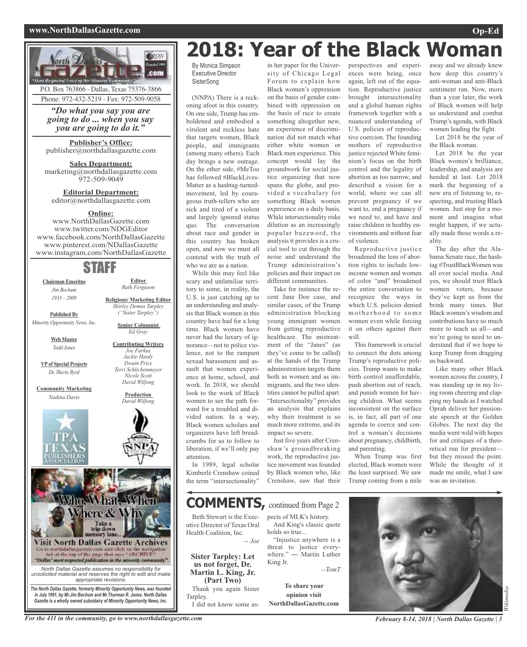### **www.NorthDallasGazette.com Op-Ed**



### in her paper for the Univer-**2018: Year of the Black Woman**

By Monica Simpson Executive Director **SisterSong** 

(NNPA) There is a reckoning afoot in this country. On one side, Trump has emboldened and embodied a virulent and reckless hate that targets women, Black people, and immigrants (among many others). Each day brings a new outrage. On the other side, #MeToo has followed #BlackLives-Matter as a hashtag-turnedmovement, led by courageous truth-tellers who are sick and tired of a violent and largely ignored status quo. The conversation about race and gender in this country has broken open, and now we must all contend with the truth of who we are as a nation.

While this may feel like scary and unfamiliar territory to some, in reality, the U.S. is just catching up to an understanding and analysis that Black women in this country have had for a long time. Black women have never had the luxury of ignorance—not to police violence, not to the rampant sexual harassment and assault that women experience at home, school, and work. In 2018, we should look to the work of Black women to see the path forward for a troubled and divided nation. In a way, Black women scholars and organizers have left breadcrumbs for us to follow to liberation, if we'll only pay attention.

In 1989, legal scholar Kimberlé Crenshaw coined the term "intersectionality"

sity of Chicago Legal Forum to explain how Black women's oppression on the basis of gender combined with oppression on the basis of race to create something altogether new, an experience of discrimination did not match what either white women or Black men experience. This concept would lay the groundwork for social justice organizing that now spans the globe, and provided a vocabulary for something Black women experience on a daily basis. While intersectionality risks dilution as an increasingly popular buzzword, the analysis it provides is a crucial tool to cut through the noise and understand the Trump administration's policies and their impact on different communities.

Take for instance the recent Jane Doe case, and similar cases, of the Trump administration blocking young immigrant women from getting reproductive healthcare. The mistreatment of the "Janes" (as they've come to be called) at the hands of the Trump administration targets them both as women and as immigrants, and the two identities cannot be pulled apart. "Intersectionality" provides an analysis that explains why their treatment is so much more extreme, and its impact so severe.

Just five years after Crenshaw's groundbreaking work, the reproductive justice movement was founded by Black women who, like Crenshaw, saw that their perspectives and experiences were being, once again, left out of the equation. Reproductive justice brought intersectionality and a global human rights framework together with a nuanced understanding of U.S. policies of reproductive coercion. The founding mothers of reproductive justice rejected White feminism's focus on the birth control and the legality of abortion as too narrow, and described a vision for a world, where we can all prevent pregnancy if we want to, end a pregnancy if we need to, and have and raise children in healthy environments and without fear of violence.

Reproductive justice broadened the lens of abortion rights to include lowincome women and women of color "and" broadened the entire conversation to recognize the ways in which U.S. policies denied m o therhood to some women even while forcing it on others against their will.

This framework is crucial to connect the dots among Trump's reproductive policies. Trump wants to make birth control unaffordable, push abortion out of reach, and punish women for having children. What seems inconsistent on the surface is, in fact, all part of one agenda to coerce and control a woman's decisions about pregnancy, childbirth, and parenting.

When Trump was first elected, Black women were the least surprised. We saw Trump coming from a mile away and we already knew how deep this country's anti-woman and anti-Black sentiment ran. Now, more than a year later, the work of Black women will help us understand and combat Trump's agenda, with Black women leading the fight.

Let 2018 be the year of the Black woman.

Let 2018 be the year Black women's brilliance, leadership, and analysis are heeded at last. Let 2018 mark the beginning of a new era of listening to, respecting, and trusting Black women. Just stop for a moment and imagine what might happen, if we actually made those words a reality.

The day after the Alabama Senate race, the hashtag #TrustBlackWomen was all over social media. And yes, we should trust Black women voters, because they've kept us from the brink many times. But Black women's wisdom and contributions have so much more to teach us all—and we're going to need to understand that if we hope to keep Trump from dragging us backward.

Like many other Black women across the country, I was standing up in my living room cheering and clapping my hands as I watched Oprah deliver her passionate speech at the Golden Globes. The next day the media went wild with hopes for and critiques of a theoretical run for president but they missed the point. While the thought of it made me smile, what I saw was an invitation.

## **COMMENTS,** continued from Page <sup>2</sup>

Beth Stewart is the Executive Director of Texas Oral Health Coalition, Inc. *-- Joe*

**Sister Tarpley: Let us not forget, Dr. Martin L. King, Jr. (Part Two)** Thank you again Sister Tarpley.

I did not know some as-

pects of MLK's history. And King's classic quote holds so true... "Injustice anywhere is a threat to justice everywhere." ― Martin Luther King Jr. *--TomT*

**To share your opinion visit NorthDallasGazette.com**



For the 411 in the community, go to www.northdallasgazette.com February 8-14, 2018 | North Dallas Gazette | 3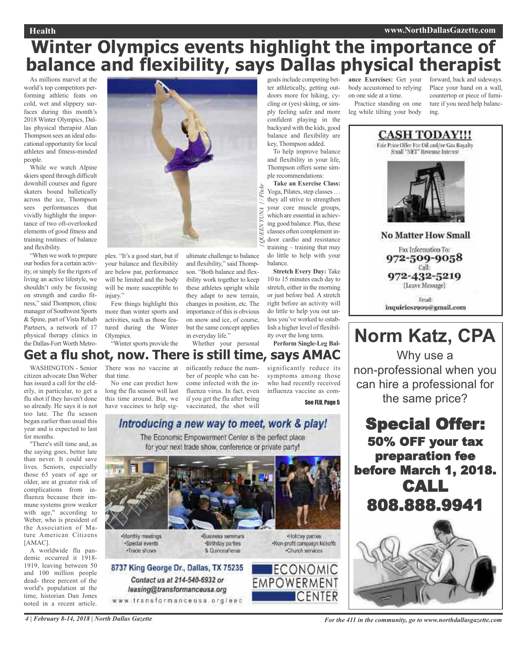### **Health www.NorthDallasGazette.com**

## **Winter Olympics events highlight the importance of balance and flexibility, says Dallas physical therapist**

*{*

*UEEN*

As millions marvel at the world's top competitors performing athletic feats on cold, wet and slippery surfaces during this month's 2018 Winter Olympics, Dallas physical therapist Alan Thompson sees an ideal educational opportunity for local athletes and fitness-minded people.

While we watch Alpine skiers speed through difficult downhill courses and figure skaters bound balletically across the ice, Thompson sees performances that vividly highlight the importance of two oft-overlooked elements of good fitness and training routines: of balance and flexibility.

"When we work to prepare our bodies for a certain activity, orsimply for the rigors of living an active lifestyle, we shouldn't only be focusing on strength and cardio fitness," said Thompson, clinic manager of Southwest Sports & Spine, part of Vista Rehab Partners, a network of 17 physical therapy clinics in the Dallas-Fort Worth Metro-



plex. "It's a good start, but if your balance and flexibility are below par, performance will be limited and the body will be more susceptible to injury."

Few things highlight this more than winter sports and activities, such as those featured during the Winter Olympics.

"Winter sports provide the

ultimate challenge to balance and flexibility," said Thompson. "Both balance and flexibility work together to keep these athletes upright while they adapt to new terrain, changes in position, etc. The importance of this is obvious on snow and ice, of course, but the same concept applies in everyday life."

Whether your personal

goalsinclude competing better athletically, getting outdoors more for hiking, cycling or (yes) skiing, or simply feeling safer and more confident playing in the backyard with the kids, good balance and flexibility are key, Thompson added.

To help improve balance and flexibility in your life, Thompson offers some simple recommendations: **Take an Exercise Class:** *YUNA } / Flickr*

Yoga, Pilates, step classes ... they all strive to strengthen your core muscle groups, which are essential in achieving good balance. Plus, these classes often complement in- $\approx$  door cardio and resistance training – training that may do little to help with your balance.

**Stretch Every Day:** Take 10 to 15 minutes each day to stretch, either in the morning or just before bed. A stretch right before an activity will do little to help you out unless you've worked to establish a higher level of flexibility over the long term.

**Perform Single-Leg Bal-**

significantly reduce its symptoms among those who had recently received influenza vaccine as com-

## **Get a flu shot, now. There is still time, says AMAC**

WASHINGTON - Senior citizen advocate Dan Weber has issued a call for the elderly, in particular, to get a flu shot if they haven't done so already. He says it is not too late. The flu season began earlier than usual this year and is expected to last for months.

"There's still time and, as the saying goes, better late than never. It could save lives. Seniors, especially those 65 years of age or older, are at greater risk of complications from influenza because their immune systems grow weaker with age," according to Weber, who is president of the Association of Mature American Citizens [AMAC].

A worldwide flu pandemic occurred it 1918- 1919, leaving between 50 and 100 million people dead- three percent of the world's population at the time, historian Dan Jones noted in a recent article.

There was no vaccine at that time.

No one can predict how long the flu season will last this time around. But, we have vaccines to help significantly reduce the number of people who can become infected with the influenza virus. In fact, even if you get the flu after being vaccinated, the shot will

See FLU, Page 5

## Introducing a new way to meet, work & play!

The Economic Empowerment Center is the perfect place for your next trade show, conference or private party!



**ance Exercises:** Get your body accustomed to relying on one side at a time.

Practice standing on one leg while tilting your body

forward, back and sideways. Place your hand on a wall, countertop or piece of furniture if you need help balancing.



inquiries1909@gmnil.com

## **Norm Katz, CPA**

Why use a non-professional when you can hire a professional for the same price?

Special Offer: 50% OFF your tax preparation fee before March 1, 2018. CALL 808.888.9941



4 | February 8-14, 2018 | North Dallas Gazette | Community, go to www.northdallasgazette.com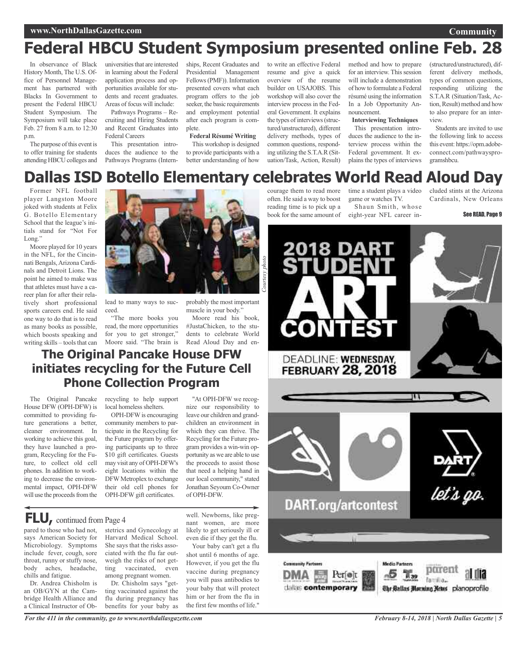### **www.NorthDallasGazette.com**

## **Federal HBCU Student Symposium presented online Feb. 28**

In observance of Black History Month, The U.S. Office of Personnel Management has partnered with Blacks In Government to present the Federal HBCU Student Symposium. The Symposium will take place Feb. 27 from 8 a.m. to 12:30 p.m.

The purpose of this event is to offer training for students attending HBCU colleges and

universities that are interested in learning about the Federal application process and opportunities available for students and recent graduates. Areas of focus will include:

Pathways Programs – Recruiting and Hiring Students and Recent Graduates into Federal Careers

This presentation introduces the audience to the Pathways Programs (Intern-

ships, Recent Graduates and Presidential Management Fellows(PMF)). Information presented covers what each program offers to the job seeker, the basic requirements and employment potential after each program is complete.

**Federal Résumé Writing** This workshop is designed to provide participants with a better understanding of how

to write an effective Federal resume and give a quick overview of the resume builder on USAJOBS. This workshop will also cover the interview process in the Federal Government. It explains the types of interviews (structured/unstructured), different delivery methods, types of common questions, responding utilizing the S.T.A.R (Situation/Task, Action, Result)

courage them to read more often. He said a way to boost reading time is to pick up a book for the same amount of

**CONTEST** 

method and how to prepare for an interview. This session will include a demonstration of how to formulate a Federal résumé using the information In a Job Opportunity Announcement.

#### **Interviewing Techniques**

This presentation introduces the audience to the interview process within the Federal government. It explains the types of interviews

time a student plays a video game or watches TV.

Shaun Smith, whose eight-year NFL career in-

(structured/unstructured), different delivery methods, types of common questions, responding utilizing the S.T.A.R (Situation/Task, Action, Result) method and how to also prepare for an interview.

Students are invited to use the following link to access this event: https://opm.adobeconnect.com/pathwaysprogramshbcu.

cluded stints at the Arizona Cardinals, New Orleans

See READ, Page 9

## **Dallas ISD Botello Elementary celebrates World Read Aloud Day**

*Courtesy*

*photo*

Former NFL football player Langston Moore joked with students at Felix G. Botello Elementary School that the league's initials stand for "Not For Long."

Moore played for 10 years in the NFL, for the Cincinnati Bengals,Arizona Cardinals and Detroit Lions. The point he aimed to make was that athletes must have a career plan for after their relatively short professional sports careers end. He said one way to do that is to read as many books as possible, which boosts speaking and writing skills – tools that can



lead to many ways to succeed.

"The more books you read, the more opportunities for you to get stronger," Moore said. "The brain is probably the most important muscle in your body.'

Moore read his book, #JustaChicken, to the students to celebrate World Read Aloud Day and en-

### **The Original Pancake House DFW initiates recycling for the Future Cell Phone Collection Program**

The Original Pancake House DFW (OPH-DFW) is committed to providing future generations a better, cleaner environment. In working to achieve this goal, they have launched a program, Recycling for the Future, to collect old cell phones. In addition to working to decrease the environmental impact, OPH-DFW will use the proceeds from the recycling to help support local homeless shelters.

OPH-DFW is encouraging community members to participate in the Recycling for the Future program by offering participants up to three \$10 gift certificates. Guests may visit any of OPH-DFW's eight locations within the DFWMetroplex to exchange their old cell phones for OPH-DFW gift certificates.

"At OPH-DFW we recognize our responsibility to leave our children and grandchildren an environment in which they can thrive. The Recycling for the Future program provides a win-win opportunity as we are able to use the proceeds to assist those that need a helping hand in our local community," stated Jonathan Seyoum Co-Owner of OPH-DFW.

### **FLU,** continued from Page <sup>4</sup>

pared to those who had not, stetrics and Gynecology at says American Society for Microbiology. Symptoms include fever, cough, sore throat, runny or stuffy nose, body aches, headache, chills and fatigue.

Dr. Andrea Chisholm is an OB/GYN at the Cambridge Health Alliance and a Clinical Instructor of Ob-

Harvard Medical School. She says that the risks associated with the flu far outweigh the risks of not getting vaccinated, even among pregnant women.

Dr. Chisholm says "getting vaccinated against the flu during pregnancy has benefits for your baby as well. Newborns, like pregnant women, are more likely to get seriously ill or even die if they get the flu.

Your baby can't get a flu shot until 6 months of age. However, if you get the flu vaccine during pregnancy you will pass antibodies to your baby that will protect him or her from the flu in the first few months of life."



**Community**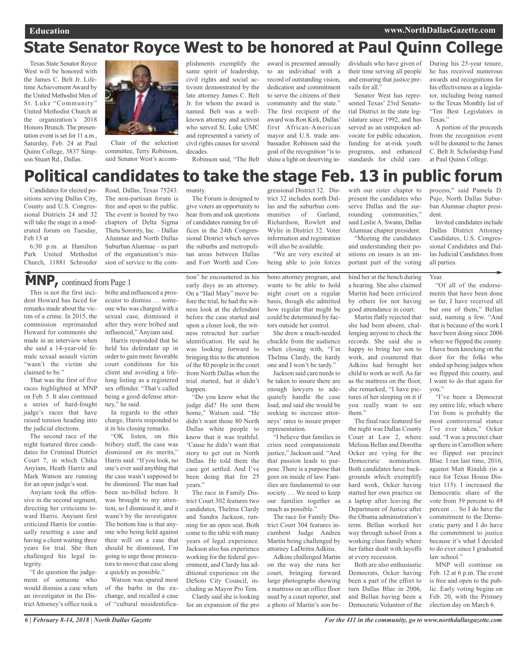## **State Senator Royce West to be honored at Paul Quinn College**

Texas State Senator Royce West will be honored with the James C. Belt Jr. Lifetime Achievement Award by the United Methodist Men of St. Luke "Community" United Methodist Church at the organization's 2018 Honors Brunch. The presentation event is set for 11 a.m., Saturday, Feb. 24 at Paul Quinn College, 3837 Simpson Stuart Rd., Dallas.



Chair of the selection committee, Terry Robinson, said Senator West's accomplishments exemplify the same spirit of leadership, civil rights and social activism demonstrated by the late attorney James C. Belt Jr. for whom the award is named. Belt was a wellknown attorney and activist who served St. Luke UMC and represented a variety of civil rights causes for several decades.

Robinson said, "The Belt

The Forum is designed to give voters an opportunity to hear from and ask questions of candidates running for offices in the 24th Congressional District which serves the suburbs and metropolitan areas between Dallas and Fort Worth and Conaward is presented annually to an individual with a record of outstanding vision, dedication and commitment to serve the citizens of their community and the state." The first recipient of the award was Ron Kirk, Dallas' first African-American mayor and U.S. trade ambassador. Robinson said the goal of the recognition "is to shine a light on deserving individuals who have given of their time serving all people and ensuring that justice prevails for all."

Senator West has represented Texas' 23rd Senatorial District in the state legislature since 1992, and has served as an outspoken advocate for public education, funding for at-risk youth programs, and enhanced standards for child care.

During his 25-year tenure, he has received numerous awards and recognitions for his effectiveness as a legislator, including being named to the Texas Monthly list of "Ten Best Legislators in Texas."

A portion of the proceeds from the recognition event will be donated to the James C. Belt Jr. Scholarship Fund at Paul Quinn College.

### **Political candidates to take the stage Feb. 13 in public forum** munity.

Candidates for elected positions serving Dallas City, County and U.S. Congressional Districts 24 and 32 will take the stage in a moderated forum on Tuesday, Feb 13 at

6:30 p.m. at Hamilton Park United Methodist Church, 11881 Schroeder

Road, Dallas, Texas 75243. The non-partisan forum is free and open to the public. The event is hosted by two chapters of Delta Sigma Theta Sorority, Inc. – Dallas Alumnae and North Dallas SuburbanAlumnae – as part of the organization's mission of service to the com-

### **MNP,** continued from Page <sup>1</sup>

This is not the first incident Howard has faced for remarks made about the victim of a crime. In 2015, the commission reprimanded Howard for comments she made in an interview when she said a 14-year-old female sexual assault victim "wasn't the victim she claimed to be."

That was the first of five races highlighted at MNP on Feb. 5. It also continued a series of hard-fought judge's races that have raised tension heading into the judicial elections.

The second race of the night featured three candidates for Criminal District Court 7, in which Chika Anyiam, Heath Harris and Mark Watson are running for an open judge's seat.

Anyiam took the offensive in the second segment, directing her criticisms toward Harris. Anyiam first criticized Harris for continually resetting a case and having a client waiting three years for trial. She then challenged his legal integrity.

"I do question the judgement of someone who would dismiss a case when an investigator in the District Attorney's office took a bribe and influenced a prosecutor to dismiss … someone who was charged with a sexual case, dismissed it after they were bribed and influenced," Anyiam said.

Harris responded that he held his defendant up in order to gain more favorable court conditions for his client and avoiding a lifelong listing as a registered sex offender. "That's called being a good defense attorney," he said.

In regards to the other charge, Harris responded to it in his closing remarks.

"OK listen, on this bribery stuff, the case was dismissed on its merits," Harris said. "If you look, no one's ever said anything that the case wasn't supposed to be dismissed. The man had been no-billed before. It was brought to my attention, so I dismissed it, and it wasn't by the investigator. The bottom line is that anyone who being held against their will on a case that should be dismissed, I'm going to urge those prosecutors to move that case along a quickly as possible."

Watson was spared most of the barbs in the exchange, and recalled a case of "cultural misidentifica-

tion" he encountered in his early days as an attorney. On a "Hail Mary" move before the trial, he had the witness look at the defendant before the case started and upon a closer look, the witness retracted her earlier identification. He said he was looking forward to bringing this to the attention of the 80 people in the court from North Dallas when the trial started, but it didn't happen.

"Do you know what the judge did? He sent them home," Watson said. "He didn't want those 80 North Dallas white people to know that it was truthful. 'Cause he didn't want that story to get out in North Dallas. He told them the case got settled. And I've been doing that for 25 years."

The race in Family District Court 302 features two candidates, Thelma Clardy and Sandra Jackson, running for an open seat. Both come to the table with many years of legal experience. Jackson also has experience working for the federal government, and Clardy has additional experience on the DeSoto City Council, including as Mayor Pro Tem.

Clardy said she is looking for an expansion of the pro gressional District 32. District 32 includes north Dallas and the suburban communities of Garland, Richardson, Rowlett and Wylie in District 32. Voter information and registration will also be available.

"We are very excited at being able to join forces

bono attorney program, and wants to be able to hold night court on a regular basis, though she admitted how regular that might be could be determined by factors outside her control.

She drew a much-needed chuckle from the audience when closing with, "I'm Thelma Clardy, the hardy one and I won't be tardy."

Jackson said care needs to be taken to insure there are enough lawyers to adequately handle the case load, and said she would be seeking to increase attorneys' rates to insure proper representation.

"I believe that families in crisis need compassionate justice," Jackson said. "And that passion leads to purpose. There is a purpose that goes on inside of law. Families are fundamental to our society … We need to keep our families together as much as possible."

The race for Family District Court 304 features incumbent Judge Andrea Martin being challenged by attorney LaDeitra Adkins.

Adkins challenged Martin on the way she runs her court, bringing forward large photographs showing a mattress on an office floor used by a court reporter, and a photo of Martin's son bewith our sister chapter to present the candidates who serve Dallas and the surrounding communities," said LeslieA. Swann, Dallas Alumnae chapter president.

"Meeting the candidates and understanding their positions on issues is an important part of the voting

hind her at the bench during a hearing. She also claimed Martin had been criticized by others for not having good attendance in court.

Martin flatly rejected that she had been absent, challenging anyone to check the records. She said she is happy to bring her son to work, and countered that Adkins had brought her child to work as well. As far as the mattress on the floor, she remarked, "I have pictures of her sleeping on it if you really want to see them."

The final race featured for the night was Dallas County Court at Law 2, where Melissa Bellan and Dorotha Ocker are vying for the Democratic nomination. Both candidates have backgrounds which exemplify hard work, Ocker having started her own practice on a laptop after leaving the Department of Justice after the Obama administration's term. Bellan worked her way through school from a working class family where her father dealt with layoffs at every recession.

Both are also enthusiastic Democrats, Ocker having been a part of the effort to turn Dallas Blue in 2006, and Bellan having been a Democratic Volunteer of the

process," said Pamela D. Pujo, North Dallas Suburban Alumnae chapter president.

Invited candidates include Dallas District Attorney Candidates, U.S. Congressional Candidates and Dallas Judicial Candidates from all parties.

Year.

"Of all of the endorsements that have been done so far, I have received all but one of them," Bellan said, naming a few. "And that is because of the work I have been doing since 2006 when we flipped the county. I have been knocking on the door for the folks who ended up being judges when we flipped this county, and I want to do that again for you."

"I've been a Democrat my entire life, which where I'm from is probably the most controversial stance I've ever taken," Ocker said. "I was a precinct chair up there in Carrollton where we flipped our precinct Blue. I ran last time, 2016, against Matt Rinaldi (in a race for Texas House District 115). I increased the Democratic share of the vote from 39 percent to 49 percent … So I do have the commitment to the Democratic party and I do have the commitment to justice because it's what I decided to do ever since I graduated law school."

MNP will continue on Feb. 12 at 6 p.m. The event is free and open to the public. Early voting begins on Feb. 20, with the Primary election day on March 6.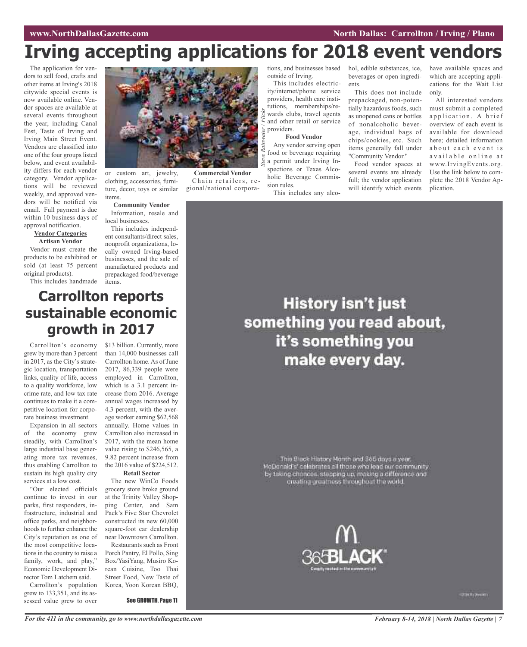## **Irving accepting applications for 2018 event vendors**

The application for vendors to sell food, crafts and other items at Irving's 2018 citywide special events is now available online. Vendor spaces are available at several events throughout the year, including Canal Fest, Taste of Irving and Irving Main Street Event. Vendors are classified into one of the four groups listed below, and event availability differs for each vendor category. Vendor applications will be reviewed weekly, and approved vendors will be notified via email. Full payment is due within 10 business days of approval notification.

#### **Vendor Categories Artisan Vendor**

Vendor must create the products to be exhibited or sold (at least 75 percent original products).

This includes handmade



**Commercial Vendor** Chain retailers, regional/national corpora-

or custom art, jewelry, clothing, accessories, furniture, decor, toys or similar items.

### **Community Vendor**

Information, resale and local businesses.

This includes independent consultants/direct sales, nonprofit organizations, locally owned Irving-based businesses, and the sale of manufactured products and prepackaged food/beverage items.

## **Carrollton reports sustainable economic growth in 2017**

Carrollton's economy grew by more than 3 percent in 2017, as the City's strategic location, transportation links, quality of life, access to a quality workforce, low crime rate, and low tax rate continues to make it a competitive location for corporate business investment.

Expansion in all sectors of the economy grew steadily, with Carrollton's large industrial base generating more tax revenues, thus enabling Carrollton to sustain its high quality city services at a low cost.

"Our elected officials continue to invest in our parks, first responders, infrastructure, industrial and office parks, and neighborhoods to further enhance the City's reputation as one of the most competitive locations in the country to raise a family, work, and play," Economic Development Director Tom Latchem said.

Carrollton's population grew to 133,351, and its assessed value grew to over

\$13 billion. Currently, more than 14,000 businesses call Carrollton home. As of June 2017, 86,339 people were employed in Carrollton, which is a 3.1 percent increase from 2016. Average annual wages increased by 4.3 percent, with the average worker earning \$62,568 annually. Home values in Carrollton also increased in 2017, with the mean home value rising to \$246,565, a 9.82 percent increase from the 2016 value of \$224,512. **Retail Sector**

The new WinCo Foods grocery store broke ground at the Trinity Valley Shopping Center, and Sam Pack's Five Star Chevrolet constructed its new 60,000 square-foot car dealership near Downtown Carrollton.

Restaurants such as Front Porch Pantry, El Pollo, Sing Box/YasiYang, Musiro Korean Cuisine, Too Thai Street Food, New Taste of Korea, Yoon Korean BBQ,

See GROWTH, Page 11

outside of Irving.

This includes electricity/internet/phone service providers, health care institutions, memberships/rewards clubs, travel agents and other retail or service providers. *Steve Rainwater / Flickr*

### **Food Vendor**

Any vendor serving open food or beverage requiring a permit under Irving Inspections or Texas Alcoholic Beverage Commission rules.

This includes any alco-

tions, and businesses based hol, edible substances, ice, beverages or open ingredients.

> This does not include prepackaged, non-potentially hazardous foods, such as unopened cans or bottles of nonalcoholic beverage, individual bags of chips/cookies, etc. Such items generally fall under "Community Vendor."

> Food vendor spaces at several events are already full; the vendor application will identify which events

have available spaces and which are accepting applications for the Wait List only.

All interested vendors must submit a completed application. A brief overview of each event is available for download here; detailed information about each event is available online at www.IrvingEvents.org. Use the link below to complete the 2018 Vendor Application.

## **History isn't just** something you read about, it's something you make every day.

This Black History Month and 365 days a year.<br>McDonald's' celebrates all those who lead our community<br>by taking chances, stepping up, making a cifference and creating greatness throughout the world.



**Williams**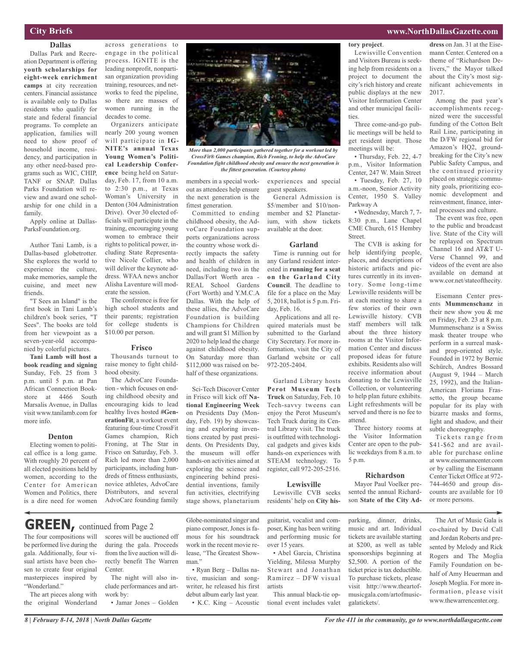### **City Briefs**

### **Dallas**

Dallas Park and Recreation Department is offering **youth scholarships for eight-week enrichment camps** at city recreation centers. Financial assistance is available only to Dallas residents who qualify for state and federal financial programs. To complete an application, families will need to show proof of household income, residency, and participation in any other need-based programs such as WIC, CHIP, TANF or SNAP. Dallas Parks Foundation will review and award one scholarship for one child in a family.

Apply online at Dallas-ParksFoundation.org.

Author Tani Lamb, is a Dallas-based globetrotter. She explores the world to experience the culture, make memories, sample the cuisine, and meet new friends.

"T Sees an Island" is the first book in Tani Lamb's children's book series, "T Sees". The books are told from her viewpoint as a seven-year-old accompanied by colorful pictures.

**Tani Lamb will host a book reading and signing** Sunday, Feb. 25 from 3 p.m. until 5 p.m. at Pan African Connection Bookstore at 4466 South Marsalis Avenue, in Dallas visit www.tanilamb.com for more info.

### **Denton**

Electing women to political office is a long game. With roughly 20 percent of all elected positions held by women, according to the Center for American Women and Politics, there is a dire need for women

across generations to engage in the political process. IGNITE is the leading nonprofit, nonpartisan organization providing training, resources, and networks to feed the pipeline, so there are masses of women running in the decades to come.

Organizers anticipate nearly 200 young women will participate in **IG-NITE's annual Texas Young Women's Political Leadership Conference** being held on Saturday, Feb. 17, from 10 a.m. to 2:30 p.m., at Texas Woman's University in Denton (304 Administration Drive). Over 30 elected officials will participate in the training, encouraging young women to embrace their rights to political power, including State Representative Nicole Collier, who will deliver the keynote address. WFAA news anchor Alisha Laventure will moderate the session.

The conference is free for high school students and their parents; registration for college students is \$10.00 per person.

#### **Frisco**

Thousands turnout to raise money to fight childhood obesity.

The AdvoCare Foundation - which focuses on ending childhood obesity and encouraging kids to lead healthy lives hosted **#GenerationFit**, a workout event featuring four-time CrossFit Games champion, Rich Froning, at The Star in Frisco on Saturday, Feb. 3. Rich led more than 2,000 participants, including hundreds of fitness enthusiasts, novice athletes, AdvoCare Distributors, and several AdvoCare founding family



*More than 2,000 participants gathered together for a workout led by CrossFit® Games champion, Rich Froning, to help the AdvoCare Foundation fight childhood obesity and ensure the next generation is the fittest generation. (Courtesy photo)*

members in a special workout as attendees help ensure the next generation is the fittest generation.

Committed to ending childhood obesity, the AdvoCare Foundation supports organizations across the country whose work directly impacts the safety and health of children in need, including two in the Dallas/Fort Worth area - REAL School Gardens (Fort Worth) and Y.M.C.A Dallas. With the help of these allies, the AdvoCare Foundation is building Champions for Children and will grant \$1 Million by 2020 to help lead the charge against childhood obesity. On Saturday more than \$112,000 was raised on behalf of these organizations.

Sci-Tech Discover Center in Frisco will kick off **National Engineering Week** on Presidents Day (Monday, Feb. 19) by showcasing and exploring inventions created by past presidents. On Presidents Day, the museum will offer hands-on activities aimed at exploring the science and engineering behind presidential inventions, family fun activities, electrifying stage shows, planetarium

experiences and special guest speakers.

**tory project**.

ties.

project to document the city's rich history and create public displays at the new Visitor Information Center and other municipal facili-

Three come-and-go public meetings will be held to get resident input. Those

• Thursday, Feb. 22, 4-7 p.m., Visitor Information Center, 247 W. Main Street • Tuesday, Feb. 27, 10 a.m.-noon, Senior Activity Center, 1950 S. Valley

• Wednesday, March 7, 7- 8:30 p.m., Lane Chapel CME Church, 615 Hembry

The CVB is asking for help identifying people, places, and descriptions of historic artifacts and pictures currently in its inventory. Some long-time Lewisville residents will be at each meeting to share a few stories of their own Lewisville history. CVB staff members will talk about the three history rooms at the Visitor Information Center and discuss proposed ideas for future exhibits. Residents also will receive information about donating to the Lewisville Collection, or volunteering to help plan future exhibits. Light refreshments will be served and there is no fee to

meetings will be:

Parkway A

Street.

General Admission is \$5/member and \$10/nonmember and \$2 Planetarium, with show tickets available at the door.

#### **Garland**

Time is running out for any Garland resident interested in **running for a seat on the Garland City Council**. The deadline to file for a place on the May 5, 2018, ballot is 5 p.m. Friday, Feb. 16.

Applications and all required materials must be submitted to the Garland City Secretary. For more information, visit the City of Garland website or call 972-205-2404.

Garland Library hosts **Perot Museum Tech Truck** on Saturday, Feb. 10 Tech-savvy tweens can enjoy the Perot Museum's Tech Truck during its Central Library visit. The truck is outfitted with technological gadgets and gives kids hands-on experiences with STEAM technology. To register, call 972-205-2516.

#### **Lewisville**

Lewisville CVB seeks residents' help on **City his-**

son **State of the City Ad-**

attend.

5 p.m.

galatickets/.

#### Lewisville Convention and Visitors Bureau is seeking help from residents on a **dress** on Jan. 31 at the Eisemann Center. Centered on a theme of "Richardson Delivers," the Mayor talked

**www.NorthDallasGazette.com**

about the City's most significant achievements in

2017. Among the past year's accomplishments recognized were the successful funding of the Cotton Belt Rail Line, participating in the D/FW regional bid for Amazon's HQ2, groundbreaking for the City's new Public Safety Campus, and the continued priority placed on strategic community goals, prioritizing economic development and reinvestment, finance, internal processes and culture.

The event was free, open to the public and broadcast live. State of the City will be replayed on Spectrum Channel 16 and AT&T U-Verse Channel 99, and videos of the event are also available on demand at www.cor.net/stateofthecity.

Eisemann Center presents **Mummenschanz** in their new show you & me on Friday, Feb. 23 at 8 p.m. Mummenschanz is a Swiss mask theater troupe who perform in a surreal maskand prop-oriented style. Founded in 1972 by Bernie Schürch, Andres Bossard (August 9, 1944 – March 25, 1992), and the Italian-American Floriana Frassetto, the group became popular for its play with bizarre masks and forms, light and shadow, and their subtle choreography.

Tickets range from \$41-\$62 and are available for purchase online at www.eisemanncenter.com or by calling the Eisemann Center Ticket Office at 972- 744-4650 and group discounts are available for 10 or more persons.

The four compositions will scores will be auctioned off **GREEN,** continued from Page <sup>2</sup>

be performed live during the gala. Additionally, four visual artists have been chosen to create four original masterpieces inspired by "Wonderland."

The art pieces along with the original Wonderland

during the gala. Proceeds from the live auction will directly benefit The Warren Center. The night will also in-

clude performances and artwork by: • Jamar Jones – Golden

piano composer, Jones is famous for his soundtrack work in the recent movie release, "The Greatest Showman<sup>'</sup>

Globe-nominated singer and

• Ryan Berg – Dallas native, musician and songwriter, he released his first debut album early last year. • K.C. King – Acoustic guitarist, vocalist and composer, King has been writing and performing music for over 15 years.

• Abel Garcia, Christina Yielding, Milessa Murphy Stewart and Jonathan Ramirez – DFW visual artists

This annual black-tie optional event includes valet parking, dinner, drinks, music and art. Individual tickets are available starting at \$200, as well as table sponsorships beginning at \$2,500. A portion of the ticket price is tax deductible. To purchase tickets, please visit http://www.theartofmusicgala.com/artofmusic-

Three history rooms at the Visitor Information Center are open to the public weekdays from 8 a.m. to

**Richardson** Mayor Paul Voelker presented the annual Richard-

> The Art of Music Gala is co-chaired by David Call and Jordan Roberts and presented by Melody and Rick Rogers and The Moglia Family Foundation on behalf of Amy Heuerman and Joseph Moglia. For more information, please visit www.thewarrencenter.org.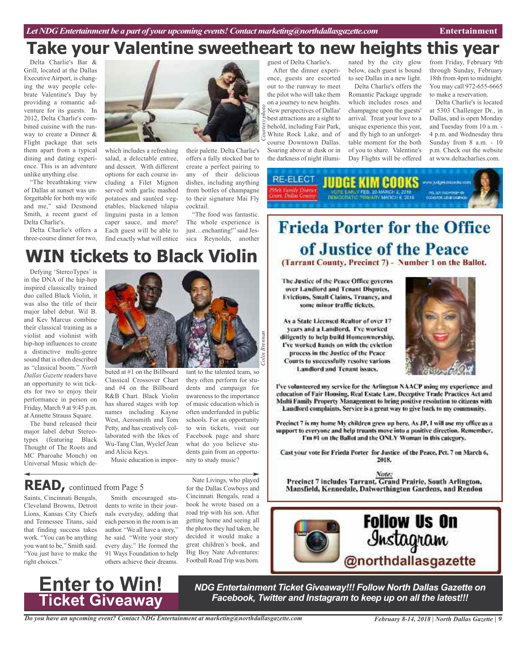### guest of Delta Charlie's. **Take your Valentine sweetheart to new heights this year**

Delta Charlie's Bar & Grill, located at the Dallas Executive Airport, is changing the way people celebrate Valentine's Day by providing a romantic adventure for its guests. In 2012, Delta Charlie's combined cuisine with the runway to create a Dinner & Flight package that sets them apart from a typical dining and dating experience. This is an adventure unlike anything else.

"The breathtaking view of Dallas at sunset was unforgettable for both my wife and me," said Desmond Smith, a recent guest of Delta Charlie's.

Delta Charlie's offers a three-course dinner for two,



which includes a refreshing salad, a delectable entree, and dessert. With different options for each course including a Filet Mignon served with garlic mashed potatoes and sautéed vegetables, blackened tilapia linguini pasta in a lemon caper sauce, and more! Each guest will be able to

their palette. Delta Charlie's offers a fully stocked bar to create a perfect pairing to any of their delicious dishes, including anything from bottles of champagne to their signature Mai Fly cocktail.

find exactly what will entice sica Reynolds, another "The food was fantastic. The whole experience is just…enchanting!" said Jes-

#### After the dinner experience, guests are escorted out to the runway to meet the pilot who will take them on a journey to new heights. New perspectives of Dallas' best attractions are a sight to behold, including Fair Park, White Rock Lake, and of *photo*

course Downtown Dallas. Soaring above at dusk or in the darkness of night illuminated by the city glow below, each guest is bound to see Dallas in a new light. Delta Charlie's offers the Romantic Package upgrade which includes roses and champagne upon the guests' arrival. Treat your love to a unique experience this year, and fly high to an unforgettable moment for the both

of you to share. Valentine's Day Flights will be offered

from Friday, February 9th through Sunday, February 18th from 4pm to midnight. You may call 972-655-6665 to make a reservation.

Delta Charlie's is located at 5303 Challenger Dr., in Dallas, and is open Monday and Tuesday from 10 a.m. - 4 p.m. and Wednesday thru Sunday from 8 a.m. - 10 p.m. Check out the website at www.deltacharlies.com.

RE-ELECT men adgefunnsska som **HING's MIMERINAN** Stell: Cartolly Different

## **WIN tickets to Black Violin**

Defying 'StereoTypes' is in the DNA of the hip-hop inspired classically trained duo called Black Violin, it was also the title of their major label debut. Wil B. and Kev Marcus combine their classical training as a violist and violinist with hip-hop influences to create a distinctive multi-genre sound that is often described as "classical boom." *North Dallas Gazette* readers have an opportunity to win tickets for two to enjoy their performance in person on Friday, March 9 at 9:45 p.m. at Annette Strauss Square.

The band released their major label debut Stereotypes (featuring Black Thought of The Roots and MC Pharoahe Monch) on Universal Music which de-



buted at #1 on the Billboard Classical Crossover Chart and #4 on the Billboard R&B Chart. Black Violin has shared stages with top names including Kayne West, Aerosmith and Tom Petty, and has creatively collaborated with the likes of Wu-Tang Clan, Wyclef Jean and Alicia Keys.

Music education is impor-

tant to the talented team, so they often perform for students and campaign for awareness to the importance of music education which is often underfunded in public schools. For an opportunity to win tickets, visit our Facebook page and share what do you believe students gain from an opportunity to study music?

## **Frieda Porter for the Office** of Justice of the Peace (Tarrant County, Precinct 7) - Number 1 on the Ballot.

The Justice of the Peace Office governs over Landlord and Tenant Disputes, Evictions, Small Claims, Truancy, and some minor traffic tickets.

As a State Licensed Realtor of over 17 years and a Landlord, I've worked diligently to help build Homeownership, I've worked hands on with the eviction process in the Justice of the Peace Courts to successfully resolve various Landlord and Tenant issues.



I've volunteered my service for the Arlington NAACP using my experience and education of Fair Housing, Real Estate Law, Deceptive Trade Practices Act and Multi Family Property Management to bring positive resolution to citizens with Landlord complaints. Service is a great way to give back to my community.

Precinct 7 is my home My children grew up here. As JP, I will use my office as a support to everyone and help truants move into a positive direction. Remember, I'm #1 on the Ballot and the ONLY Woman in this category.

Cast your vote for Frieda Porter for Justice of the Peace, Pct. 7 on March 6, 2018.

Note: Precinct 7 includes Tarrant, Grand Prairie, South Arlington, Mansfield, Kennedale, Dalworthington Gardens, and Rendon



### **READ,** continued from Page <sup>5</sup>

Saints, Cincinnati Bengals, Cleveland Browns, Detroit Lions, Kansas City Chiefs and Tennessee Titans, said that finding success takes work. "You can be anything you want to be," Smith said. "You just have to make the right choices."

Smith encouraged students to write in their journals everyday, adding that each person in the room is an author. "We all have a story," he said. "Write your story every day." He formed the 91 Ways Foundation to help others achieve their dreams.

Nate Livings, who played for the Dallas Cowboys and Cincinnati Bengals, read a book he wrote based on a road trip with his son. After getting home and seeing all the photos they had taken, he decided it would make a great children's book, and Big Boy Nate Adventures: Football Road Trip was born.



*NDG Entertainment Ticket Giveaway!!! Follow North Dallas Gazette on Facebook, Twitter and Instagram to keep up on all the latest!!!*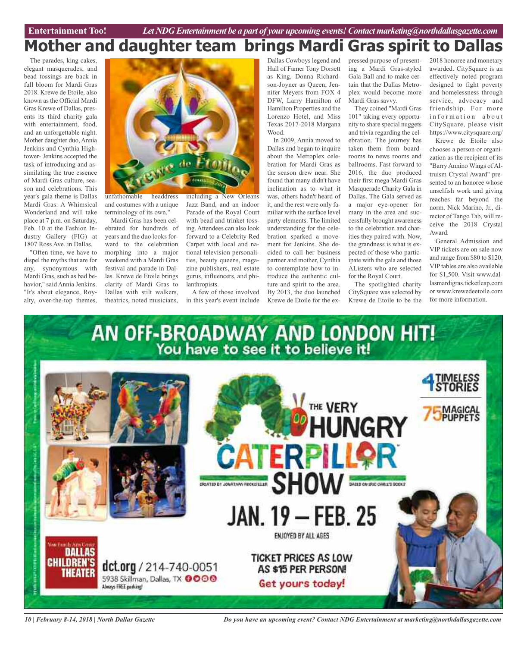## **Mother and daughter team brings Mardi Gras spirit to Dallas**

The parades, king cakes, elegant masquerades, and bead tossings are back in full bloom for Mardi Gras 2018. Krewe de Etoile, also known as the Official Mardi Gras Krewe of Dallas, presents its third charity gala with entertainment, food, and an unforgettable night. Mother daughter duo, Annia Jenkins and Cynthia Hightower- Jenkins accepted the task of introducing and assimilating the true essence of Mardi Gras culture, season and celebrations. This year's gala theme is Dallas Mardi Gras: A Whimsical Wonderland and will take place at 7 p.m. on Saturday, Feb. 10 at the Fashion Industry Gallery (FIG) at 1807 Ross Ave. in Dallas.

"Often time, we have to dispel the myths that are for any, synonymous with Mardi Gras, such as bad behavior," said Annia Jenkins. "It's about elegance, Royalty, over-the-top themes,



unfathomable headdress and costumes with a unique terminology of its own."

Mardi Gras has been celebrated for hundreds of years and the duo looks forward to the celebration morphing into a major weekend with a Mardi Gras festival and parade in Dallas. Krewe de Etoile brings clarity of Mardi Gras to Dallas with stilt walkers, theatrics, noted musicians,

including a New Orleans Jazz Band, and an indoor Parade of the Royal Court with bead and trinket tossing. Attendees can also look forward to a Celebrity Red Carpet with local and national television personalities, beauty queens, magazine publishers, real estate gurus, influencers, and philanthropists.

A few of those involved in this year's event include

Dallas Cowboys legend and Hall of Famer Tony Dorsett as King, Donna Richardson-Joyner as Queen, Jennifer Meyers from FOX 4 DFW, Larry Hamilton of Hamilton Properties and the Lorenzo Hotel, and Miss Texas 2017-2018 Margana Wood.

In 2009, Annia moved to Dallas and began to inquire about the Metroplex celebration for Mardi Gras as the season drew near. She found that many didn't have inclination as to what it was, others hadn't heard of it, and the rest were only familiar with the surface level party elements. The limited understanding for the celebration sparked a movement for Jenkins. She decided to call her business partner and mother, Cynthia to contemplate how to introduce the authentic culture and spirit to the area. By 2013, the duo launched Krewe de Etoile for the expressed purpose of presenting a Mardi Gras-styled Gala Ball and to make certain that the Dallas Metroplex would become more Mardi Gras savvy.

They coined "Mardi Gras 101" taking every opportunity to share special nuggets and trivia regarding the celebration. The journey has taken them from boardrooms to news rooms and ballrooms. Fast forward to 2016, the duo produced their first mega Mardi Gras Masquerade Charity Gala in Dallas. The Gala served as

a major eye-opener for many in the area and successfully brought awareness to the celebration and charities they paired with. Now, the grandness is what is expected of those who participate with the gala and those AListers who are selected for the Royal Court.

The spotlighted charity CitySquare was selected by Krewe de Etoile to be the 2018 honoree and monetary awarded. CitySquare is an effectively noted program designed to fight poverty and homelessness through service, advocacy and friendship. For more information about CitySquare, please visit https://www.citysquare.org/

Krewe de Etoile also chooses a person or organization as the recipient of its "Barry Annino Wings of Altruism Crystal Award" presented to an honoree whose unselfish work and giving reaches far beyond the norm. Nick Marino, Jr., director of Tango Tab, will receive the 2018 Crystal Award.

General Admission and VIP tickets are on sale now and range from \$80 to \$120. VIP tables are also available for \$1,500. Visit www.dallasmardigras.ticketleap.com or www.krewedeetoile.com for more information.



*10 | February 8-14, 2018 | North Dallas Gazette*

*Do you have an upcoming event? Contact NDG Entertainment at marketing@northdallasgazette.com*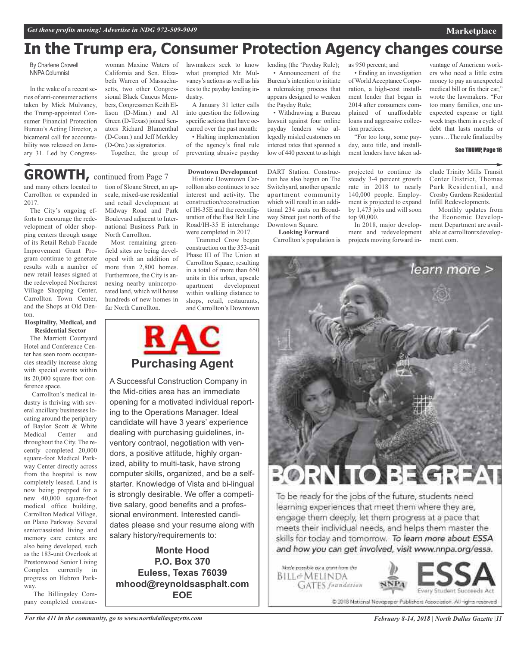## **In the Trump era, Consumer Protection Agency changes course**

By Charlene Crowell NNPA Columnist

In the wake of a recent series of anti-consumer actions taken by Mick Mulvaney, the Trump-appointed Consumer Financial Protection Bureau's Acting Director, a bicameral call for accountability was released on January 31. Led by Congress-

woman Maxine Waters of California and Sen. Elizabeth Warren of Massachusetts, two other Congressional Black Caucus Members, Congressmen Keith Ellison (D-Minn.) and Al Green (D-Texas) joined Senators Richard Blumenthal (D-Conn.) and Jeff Merkley (D-Ore.) as signatories.

Together, the group of

#### lawmakers seek to know what prompted Mr. Mulvaney's actions as well as his ties to the payday lending industry.

A January 31 letter calls into question the following specific actions that have occurred over the past month:

• Halting implementation of the agency's final rule preventing abusive payday

Trammel Crow began construction on the 353-unit Phase III of The Union at Carrollton Square, resulting in a total of more than 650 units in this urban, upscale<br>apartment development

within walking distance to shops, retail, restaurants,

development

lending (the 'Payday Rule); • Announcement of the Bureau's intention to initiate a rulemaking process that appears designed to weaken the Payday Rule;

• Withdrawing a Bureau lawsuit against four online payday lenders who allegedly misled customers on interest rates that spanned a low of 440 percent to as high

as 950 percent; and

• Ending an investigation of World Acceptance Corporation, a high-cost installment lender that began in 2014 after consumers complained of unaffordable loans and aggressive collection practices.

"For too long, some payday, auto title, and installment lenders have taken ad-

vantage of American workers who need a little extra money to pay an unexpected medical bill or fix their car," wrote the lawmakers. "For too many families, one unexpected expense or tight week traps them in a cycle of debt that lasts months or years…The rule finalized by

#### See TRUMP, Page 16

**Marketplace**

Infill Redevelopments.

Monthly updates from

'earn more >

and many others located to Carrollton or expanded in 2017. **GROWTH,** continued from Page <sup>7</sup>

The City's ongoing efforts to encourage the redevelopment of older shopping centers through usage of its Retail Rehab Facade Improvement Grant Program continue to generate results with a number of new retail leases signed at the redeveloped Northcrest Village Shopping Center, Carrollton Town Center, and the Shops at Old Denton.

#### **Hospitality, Medical, and Residential Sector**

The Marriott Courtyard Hotel and Conference Center has seen room occupancies steadily increase along with special events within its 20,000 square-foot conference space.

Carrollton's medical industry is thriving with several ancillary businesses locating around the periphery of Baylor Scott & White<br>Medical Center and Medical Center and throughout the City. The recently completed 20,000 square-foot Medical Parkway Center directly across from the hospital is now completely leased. Land is now being prepped for a new 40,000 square-foot medical office building, Carrollton Medical Village, on Plano Parkway. Several senior/assisted living and memory care centers are also being developed, such as the 183-unit Overlook at Prestonwood Senior Living Complex currently in progress on Hebron Parkway.

The Billingsley Company completed construction of Sloane Street, an upscale, mixed-use residential and retail development at Midway Road and Park Boulevard adjacent to International Business Park in North Carrollton.

Most remaining greenfield sites are being developed with an addition of more than 2,800 homes. Furthermore, the City is annexing nearby unincorporated land, which will house hundreds of new homes in far North Carrollton.



### **Purchasing Agent**

A Successful Construction Company in the Mid-cities area has an immediate opening for a motivated individual reporting to the Operations Manager. Ideal candidate will have 3 years' experience dealing with purchasing guidelines, inventory contraol, negotiation with vendors, a positive attitude, highly organized, ability to multi-task, have strong computer skills, organized, and be a selfstarter. Knowledge of Vista and bi-lingual is strongly desirable. We offer a competitive salary, good benefits and a professional environment. Interested candidates please snd your resume along with salary history/requirements to:

**Monte Hood P.O. Box 370 Euless, Texas 76039 mhood@reynoldsasphalt.com EOE**

**Downtown Development** Historic Downtown Carrollton also continues to see interest and activity. The construction/reconstruction of IH-35E and the reconfiguration of the East Belt Line Road/IH-35 E interchange were completed in 2017. DART Station. Construction has also begun on The Switchyard, another upscale apartment community which will result in an additional 234 units on Broadway Street just north of the Downtown Square.

**Looking Forward** Carrollton's population is

### projected to continue its steady 3-4 percent growth rate in 2018 to nearly 140,000 people. Employment is projected to expand by 1,473 jobs and will soon top 90,000.

In 2018, major development and redevelopment projects moving forward include Trinity Mills Transit Center District, Thomas Park Residential, and Crosby Gardens Residential

the Economic Development Department are available at carrolltontxdevelopment.com.

# **TOBEC**

To be ready for the jobs of the future, students need learning experiences that meet them where they are, engage them deeply, let them progress at a pace that meets their individual needs, and helps them master the skills for today and tomorrow. To learn more about ESSA and how you can get involved, visit www.nnpa.org/essa.

Made possible by a grant from the BILL&MELINDA **GATES** frandation



@ 2018 National Newspaper Publishers Association. All rights reserved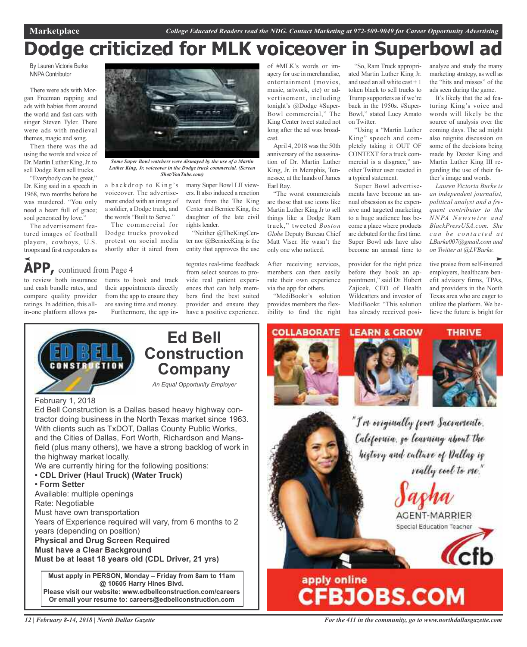## **Dodge criticized for MLK voiceover in Superbowl ad**

By Lauren Victoria Burke NNPA Contributor

There were ads with Morgan Freeman rapping and ads with babies from around the world and fast cars with singer Steven Tyler. There were ads with medieval themes, magic and song.

Then there was the ad using the words and voice of Dr. Martin Luther King, Jr. to sell Dodge Ram sell trucks.

"Everybody can be great," Dr. King said in a speech in 1968, two months before he was murdered. "You only need a heart full of grace; soul generated by love."

The advertisement featured images of football players, cowboys, U.S. troops and first responders as

to review both insurance and cash bundle rates, and compare quality provider ratings. In addition, this allin-one platform allows pa-

**APP,** continued from Page <sup>4</sup>



*Some Super Bowl watchers were dismayed by the use of a Martin Luther King, Jr. voiceover in the Dodge truck commercial. (Screen Shot/YouTube.com)*

a backdrop to King's voiceover. The advertisement ended with an image of a soldier, a Dodge truck, and the words "Built to Serve."

The commercial for Dodge trucks provoked protest on social media shortly after it aired from

tients to book and track their appointments directly from the app to ensure they are saving time and money. Furthermore, the app inmany Super Bowl LII viewers. It also induced a reaction tweet from the The King Center and Bernice King, the daughter of the late civil rights leader.

"Neither @TheKingCenter nor @BerniceKing is the entity that approves the use

tegrates real-time feedback from select sources to provide real patient experiences that can help members find the best suited provider and ensure they have a positive experience.

of #MLK's words or imagery for use in merchandise, entertainment (movies, music, artwork, etc) or advertisement, including tonight's @Dodge #Super-Bowl commercial," The King Center tweet stated not long after the ad was broadcast.

April 4, 2018 wasthe 50th anniversary of the assassination of Dr. Martin Luther King, Jr. in Memphis, Tennessee, at the hands of James Earl Ray.

"The worst commercials are those that use icons like Martin Luther King Jr to sell things like a Dodge Ram truck," tweeted *Boston Globe* Deputy Bureau Chief Matt Viser. He wasn't the only one who noticed.

After receiving services, members can then easily rate their own experience via the app for others.

"MediBookr's solution provides members the flexibility to find the right

"So, Ram Truck appropriated Martin Luther King Jr. and used an all white cast + 1 token black to sell trucks to Trump supporters as if we're back in the 1950s. #Super-Bowl," stated Lucy Amato on Twitter.

"Using a "Martin Luther King" speech and completely taking it OUT OF CONTEXT for a truck commercial is a disgrace," another Twitter user reacted in a typical statement.

Super Bowl advertisements have become an annual obsession as the expensive and targeted marketing to a huge audience has become a place where products are debuted for the first time. Super Bowl ads have also become an annual time to

provider for the right price before they book an appointment," said Dr. Hubert Zajicek, CEO of Health Wildcatters and investor of MediBookr. "This solution has already received posi-

analyze and study the many marketing strategy, as well as the "hits and misses" of the ads seen during the game.

It's likely that the ad featuring King's voice and words will likely be the source of analysis over the coming days. The ad might also reignite discussion on some of the decisions being made by Dexter King and Martin Luther King III regarding the use of their father's image and words.

*Lauren Victoria Burke is an independent journalist, political analyst and a frequent contributor to the NNPA Newswir e a n d BlackPressUSA.com. She c a n b e c o n t a c t e d a t LBurke007@gmail.com and on Twitter at @LVBurke.*

tive praise from self-insured employers, healthcare benefit advisory firms, TPAs, and providers in the North Texas area who are eager to utilize the platform. We believe the future is bright for



## **Ed Bell Construction Company**

*An Equal Opportunity Employer*

February 1, 2018

Ed Bell Construction is a Dallas based heavy highway contractor doing business in the North Texas market since 1963. With clients such as TxDOT, Dallas County Public Works, and the Cities of Dallas, Fort Worth, Richardson and Mansfield (plus many others), we have a strong backlog of work in the highway market locally.

We are currently hiring for the following positions:

- **• CDL Driver (Haul Truck) (Water Truck)**
- **• Form Setter**

Available: multiple openings

Rate: Negotiable

Must have own transportation

Years of Experience required will vary, from 6 months to 2 years (depending on position)

**Physical and Drug Screen Required**

**Must have a Clear Background**

**Must be at least 18 years old (CDL Driver, 21 yrs)**

**Must apply in PERSON, Monday – Friday from 8am to 11am @ 10605 Harry Hines Blvd. Please visit our website: www.edbellconstruction.com/careers Or email your resume to: careers@edbellconstruction.com**









"I've eviginally from Sacramente. California, go learning about the history and culture of Dallas is really cool to me."





*For the 411 in the community, go to www.northdallasgazette.com*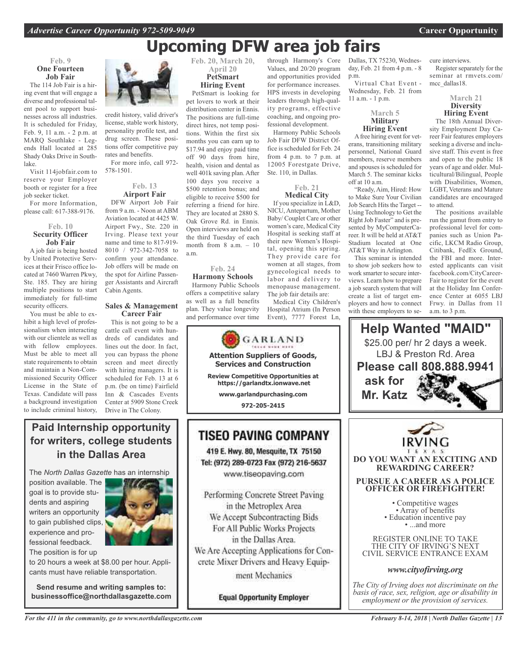## **Upcoming DFW area job fairs**

through Harmony's Core Values, and 20/20 program and opportunities provided for performance increases. HPS invests in developing leaders through high-quality programs, effective coaching, and ongoing professional development. Harmony Public Schools Job Fair DFW District Office is scheduled for Feb. 24 from 4 p.m. to 7 p.m. at 12005 Forestgate Drive,

Ste. 110, in Dallas.

**Feb. 21 Medical City** If you specialize in L&D, NICU, Antepartum, Mother Baby/ Couplet Care or other women's care, Medical City Hospital is seeking staff at their new Women's Hospital, opening this spring. They provide care for women at all stages, from gynecological needs to labor and delivery to menopause management. The job fair details are: Medical City Children's Hospital Atrium (In Person Event), 7777 Forest Ln,

### **Feb. 9 One Fourteen Job Fair**

The 114 Job Fair is a hiring event that will engage a diverse and professional talent pool to support businesses across all industries. It is scheduled for Friday, Feb. 9, 11 a.m. - 2 p.m. at MARQ Southlake - Legends Hall located at 285 Shady Oaks Drive in Southlake.

Visit 114jobfair.com to reserve your Employer booth or register for a free job seeker ticket.

For more Information, please call: 617-388-9176.

### **Feb. 10 Security Officer Job Fair**

A job fair is being hosted by United Protective Services at their Frisco office located at 7460 Warren Pkwy, Ste. 185. They are hiring multiple positions to start immediately for full-time security officers.

You must be able to exhibit a high level of professionalism when interacting with our clientele as well as with fellow employees. Must be able to meet all state requirements to obtain and maintain a Non-Commissioned Security Officer License in the State of Texas. Candidate will pass a background investigation to include criminal history,



credit history, valid driver's license, stable work history, personality profile test, and drug screen. These positions offer competitive pay rates and benefits. For more info, call 972-

578-1501.

### **Feb. 13 Airport Fair**

DFW Airport Job Fair from 9 a.m. - Noon at ABM Aviation located at 4425 W. Airport Fwy., Ste. 220 in Irving. Please text your name and time to 817-919- 8010 / 972-342-7058 to confirm your attendance. Job offers will be made on the spot for Airline Passenger Assistants and Aircraft Cabin Agents.

### **Sales & Management Career Fair**

This is not going to be a cattle call event with hundreds of candidates and lines out the door. In fact, you can bypass the phone screen and meet directly with hiring managers. It is scheduled for Feb. 13 at 6 p.m. (be on time) Fairfield Inn & Cascades Events Center at 5909 Stone Creek Drive in The Colony.

### **Feb. 20, March 20, April 20 PetSmart Hiring Event**

PetSmart is looking for pet lovers to work at their distribution center in Ennis. The positions are full-time direct hires, not temp positions. Within the first six months you can earn up to \$17.94 and enjoy paid time off 90 days from hire, health, vision and dental as well 401k saving plan. After 100 days you receive a \$500 retention bonus; and eligible to receive \$500 for referring a friend for hire. They are located at 2880 S. Oak Grove Rd. in Ennis. Open interviews are held on the third Tuesday of each month from  $8$  a.m.  $-10$ a.m.

### **Feb. 24 Harmony Schools** Harmony Public Schools offers a competitive salary

as well as a full benefits plan. They value longevity and performance over time



www.tiseopaving.com

Performing Concrete Street Paving in the Metroplex Area We Accept Subcontracting Bids For All Public Works Projects in the Dallas Area. We Are Accepting Applications for Concrete Mixer Drivers and Heavy Equipment Mechanics

**Equal Opportunity Employer** 

Dallas, TX 75230, Wednesday, Feb. 21 from 4 p.m. - 8 p.m.

Virtual Chat Event - Wednesday, Feb. 21 from 11 a.m. - 1 p.m.

### **March 5 Military Hiring Event**

Afree hiring event for veterans, transitioning military personnel, National Guard members, reserve members and spouses is scheduled for March 5. The seminar kicks off at 10 a.m.

"Ready, Aim, Hired: How to Make Sure Your Civilian Job Search Hits the Target -- Using Technology to Get the Right Job Faster" and is presented by MyComputerCareer. It will be held at AT&T Stadium located at One AT&T Way in Arlington.

This seminar is intended to show job seekers how to work smarter to secure interviews. Learn how to prepare a job search system that will create a list of target employers and how to connect with these employers to secure interviews.

Register separately for the seminar at rmvets.com/ mcc\_dallas18.

### **March 21 Diversity Hiring Event**

The 18th Annual Diversity Employment Day Career Fair features employers seeking a diverse and inclusive staff. This event is free and open to the public 18 years of age and older. Multicultural/Bilingual, People with Disabilities, Women, LGBT, Veterans and Mature candidates are encouraged to attend.

The positions available run the gamut from entry to professional level for companies such as Union Pacific, LKCM Radio Group, Citibank, FedEx Ground, the FBI and more. Interested applicants can visit facebook.com/CityCareer-Fair to register for the event at the Holiday Inn Conference Center at 6055 LBJ Frwy. in Dallas from 11 a.m. to 3 p.m.

**Help Wanted "MAID"** \$25.00 per/ hr 2 days a week. LBJ & Preston Rd. Area **Please call 808.888.9941 ask for Mr. Katz**



**DO YOU WANT AN EXCITING AND REWARDING CAREER?**

### **PURSUE A CAREER AS A POLICE OFFICER OR FIREFIGHTER!**

• Competitive wages<br>• Array of benefits<br>• Education incentive pay<br>• ...and more

REGISTER ONLINE TO TAKE THE CITY OF IRVING'S NEXT CIVIL SERVICE ENTRANCE EXAM

### *www.cityofirving.org*

*The City of Irving does not discriminate on the basis of race, sex, religion, age or disability in employment or the provision of services.*

### **Paid Internship opportunity for writers, college students in the Dallas Area**

The *North Dallas Gazette* has an internship

position available. The goal is to provide students and aspiring writers an opportunity to gain published clips, experience and professional feedback.



The position is for up to 20 hours a week at \$8.00 per hour. Appli-

cants must have reliable transportation.

**Send resume and writing samples to: businessoffice@northdallasgazette.com**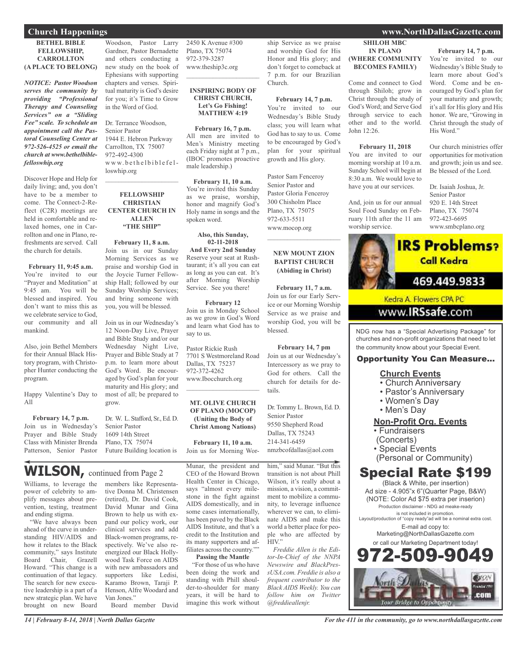### **BETHEL BIBLE FELLOWSHIP, CARROLLTON (A PLACE TO BELONG)**

*NOTICE: Pastor Woodson serves the community by providing "Professional Therapy and Counseling Services" on a "Sliding Fee" scale. To schedule an appointment call the Pastoral Counseling Center at 972-526-4525 or email the church at www.bethelbiblefelloswhip.org*

Discover Hope and Help for daily living; and, you don't have to be a member to come. The Connect-2-Reflect (C2R) meetings are held in comfortable and relaxed homes, one in Carrollton and one in Plano, refreshments are served. Call the church for details.

### **February 11, 9:45 a.m.**

You're invited to our "Prayer and Meditation" at 9:45 am. You will be blessed and inspired. You don't want to miss this as we celebrate service to God, our community and all mankind.

Also, join Bethel Members for their Annual Black History program, with Christopher Hunter conducting the program.

Happy Valentine's Day to  $\triangle$ 11

**February 14, 7 p.m.** Join us in Wednesday's Prayer and Bible Study Class with Minister Brenda Patterson, Senior Pastor

Woodson, Pastor Larry Gardner, Pastor Bernadette and others conducting a new study on the book of Ephesians with supporting chapters and verses. Spiritual maturity is God's desire for you; it's Time to Grow

Dr. Terrance Woodson, Senior Pastor 1944 E. Hebron Parkway Carrollton, TX 75007 972-492-4300 www.bethelbiblefelloswhip.org

in the Word of God.

### **FELLOWSHIP CHRISTIAN CENTER CHURCH IN ALLEN "THE SHIP"**

 $\mathcal{L}_\text{max}$  , which is a set of the set of the set of the set of the set of the set of the set of the set of the set of the set of the set of the set of the set of the set of the set of the set of the set of the set of

**February 11, 8 a.m.** Join us in our Sunday Morning Services as we praise and worship God in the Joycie Turner Fellowship Hall; followed by our Sunday Worship Services; and bring someone with you, you will be blessed.

Join us in our Wednesday's 12 Noon-Day Live, Prayer and Bible Study and/or our Wednesday Night Live, Prayer and Bible Study at 7 p.m. to learn more about God's Word. Be encouraged by God's plan for your maturity and His glory; and most of all; be prepared to grow.

Dr. W. L. Stafford, Sr., Ed. D. Senior Pastor 1609 14th Street Plano, TX 75074 Future Building location is

## **WILSON,** continued from Page <sup>2</sup>

Williams, to leverage the power of celebrity to amplify messages about prevention, testing, treatment and ending stigma.

"We have always been ahead of the curve in understanding HIV/AIDS and how it relates to the Black community," says Institute Board Chair, Grazell Howard. "This change is a continuation of that legacy. The search for new executive leadership is a part of a new strategic plan. We have brought on new Board

members like Representative Donna M. Christensen (retired), Dr. David Cook, David Munar and Gina Brown to help us with expand our policy work, our clinical services and add Black-women programs, respectively. We've also reenergized our Black Hollywood Task Force on AIDS with new ambassadors and supporters like Ledisi, Karamo Brown, Taraji P. Henson, Alfre Woodard and Van Jones."

Board member David

2450 K Avenue #300 Plano, TX 75074 972-379-3287 www.theship3c.org

### **INSPIRING BODY OF CHRIST CHURCH, Let's Go Fishing! MATTHEW 4:19**

 $\overline{\phantom{a}}$  , which is a set of the set of the set of the set of the set of the set of the set of the set of the set of the set of the set of the set of the set of the set of the set of the set of the set of the set of th

**February 16, 7 p.m.** All men are invited to Men's Ministry meeting each Friday night at 7 p.m., (IBOC promotes proactive male leadership.)

**February 11, 10 a.m.** You're invited this Sunday as we praise, worship, honor and magnify God's Holy name in songs and the spoken word.

### **Also, this Sunday, 02-11-2018**

**And Every 2nd Sunday** Reserve your seat at Rushtaurant; it's all you can eat as long as you can eat. It's after Morning Worship Service. See you there!

**February 12** Join us in Monday School as we grow in God's Word and learn what God has to say to us.

Pastor Rickie Rush 7701 S Westmoreland Road Dallas, TX 75237 972-372-4262 www.Ibocchurch.org  $\overline{\phantom{a}}$  , which is a set of the set of the set of the set of the set of the set of the set of the set of the set of the set of the set of the set of the set of the set of the set of the set of the set of the set of th

### **MT. OLIVE CHURCH OF PLANO (MOCOP) (Uniting the Body of Christ Among Nations)**

**February 11, 10 a.m.** Join us for Morning Wor-

Munar, the president and

CEO of the Howard Brown Health Center in Chicago, says "almost every milestone in the fight against AIDS domestically, and in some cases internationally, has been paved by the Black AIDS Institute, and that's a credit to the Institution and its many supporters and affiliates across the country.""

### **Passing the Mantle**

"For those of us who have been doing the work and standing with Phill shoulder-to-shoulder for many years, it will be hard to imagine this work without

ship Service as we praise and worship God for His Honor and His glory; and don't forget to comeback at 7 p.m. for our Brazilian Church.

**February 14, 7 p.m.** You're invited to our Wednesday's Bible Study class; you will learn what God has to say to us. Come to be encouraged by God's plan for your spiritual growth and His glory.

Pastor Sam Fenceroy Senior Pastor and Pastor Gloria Fenceroy 300 Chisholm Place Plano, TX 75075 972-633-5511 www.mocop.org

### **NEW MOUNT ZION BAPTIST CHURCH (Abiding in Christ)**

 $\mathcal{L}=\mathcal{L}^{\mathcal{L}}$  , where  $\mathcal{L}^{\mathcal{L}}$  , we have the set of the set of the set of the set of the set of the set of the set of the set of the set of the set of the set of the set of the set of the set of the set of

**February 11, 7 a.m.** Join us for our Early Service or our Morning Worship Service as we praise and worship God, you will be blessed.

**February 14, 7 pm** Join us at our Wednesday's Intercessory as we pray to God for others. Call the church for details for details.

Dr. Tommy L. Brown, Ed. D. Senior Pastor 9550 Shepherd Road Dallas, TX 75243 214-341-6459 nmzbcofdallas@aol.com

him," said Munar. "But this transition is not about Phill Wilson, it's really about a mission, a vision, a commitment to mobilize a community, to leverage influence wherever we can, to eliminate AIDS and make this world a better place for people who are affected by HIV."

*Freddie Allen is the Editor-In-Chief of the NNPA Newswire and BlackPressUSA.com. Freddie is also a frequent contributor to the Black AIDS Weekly. You can follow him on Twitter @freddieallenjr.*

### **Church Happenings www.NorthDallasGazette.com**

**SHILOH MBC IN PLANO (WHERE COMMUNITY BECOMES FAMILY)** Come and connect to God through Shiloh; grow in Christ through the study of **February 14, 7 p.m.** You're invited to our Wednesday's Bible Study to learn more about God's Word. Come and be en-

God's Word; and Serve God through service to each other and to the world.

**February 11, 2018** You are invited to our morning worship at 10 a.m. Sunday School will begin at 8:30 a.m. We would love to have you at our services.

And, join us for our annual Soul Food Sunday on February 11th after the 11 am

worship service.

John 12:26.

couraged by God's plan for your maturity and growth; it's all for His glory and His honor. We are, "Growing in Christ through the study of His Word."

Our church ministries offer opportunities for motivation and growth; join us and see. Be blessed of the Lord.

Dr. Isaiah Joshua, Jr. Senior Pastor 920 E. 14th Street Plano, TX 75074 972-423-6695 www.smbcplano.org



NDG now has a "Special Advertising Package" for churches and non-profit organizations that need to let the community know about your Special Event.

### Opportunity You Can Measure...

### **Church Events**

- Church Anniversary
- Pastor's Anniversary
- Women's Day
- Men's Day

### **Non-Profit Org. Events**

- Fundraisers
- (Concerts)
- Special Events
- (Personal or Community)

### Special Rate \$199

(Black & White, per insertion) Ad size - 4.905"x 6"(Quarter Page, B&W) (NOTE: Color Ad \$75 extra per inserion) Production disclaimer - NDG ad meake-ready is not included in promotion. Layout/production of "copy ready"ad will be a nominal extra cost. E-mail ad copy to: Marketing@NorthDallasGazette.com or call our Marketing Department today!

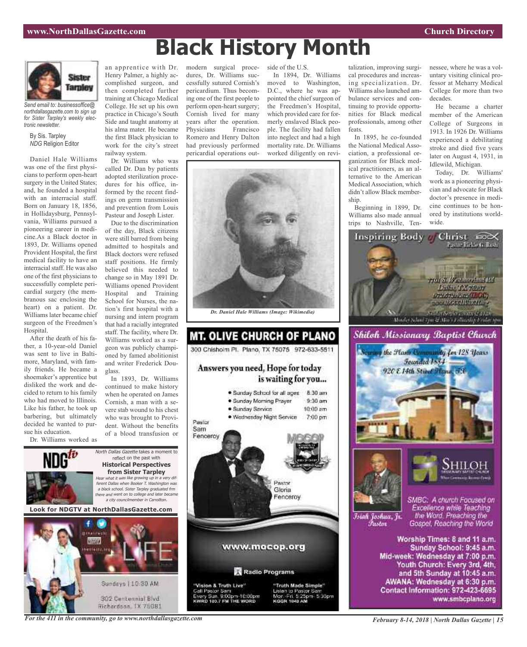

*Send email to: businessoffice@ northdallasgazette.com to sign up for Sister Tarpley's weekly electronic newsletter.*

By Sis. Tarpley *NDG* Religion Editor

Daniel Hale Williams was one of the first physicians to perform open-heart surgery in the United States; and, he founded a hospital with an interracial staff. Born on January 18, 1856, in Hollidaysburg, Pennsylvania, Williams pursued a pioneering career in medicine.As a Black doctor in 1893, Dr. Williams opened Provident Hospital, the first medical facility to have an interracial staff. He was also one of the first physicians to successfully complete pericardial surgery (the membranous sac enclosing the heart) on a patient. Dr. Williams later became chief surgeon of the Freedmen's Hospital.

After the death of his father, a 10-year-old Daniel was sent to live in Baltimore, Maryland, with family friends. He became a shoemaker's apprentice but disliked the work and decided to return to his family who had moved to Illinois. Like his father, he took up barbering, but ultimately decided he wanted to pursue his education.

Dr. Williams worked as



called Dr. Dan by patients adopted sterilization procedures for his office, informed by the recent findings on germ transmission and prevention from Louis Pasteur and Joseph Lister.

Due to the discrimination of the day, Black citizens were still barred from being admitted to hospitals and Black doctors were refused staff positions. He firmly believed this needed to change so in May 1891 Dr. Williams opened Provident Hospital and Training School for Nurses, the nation's first hospital with a nursing and intern program that had a racially integrated staff. The facility, where Dr. Williams worked as a surgeon was publicly championed by famed abolitionist and writer Frederick Douglass.

In 1893, Dr. Williams continued to make history when he operated on James Cornish, a man with a severe stab wound to his chest who was brought to Provident. Without the benefits of a blood transfusion or

North Dallas Gazette takes a moment to reflect on the past with **Historical Perspectives from Sister Tarpley** Hear what it was like growing up in <sup>a</sup> very different Dallas when Booker T. Washington was <sup>a</sup> black school. Sister Tarpley graduated frm there and went on to college and later became <sup>a</sup> city councilmember in Carrollton. **Look for NDGTV at NorthDallasGazette.com**



modern surgical procedures, Dr. Williams successfully sutured Cornish's pericardium. Thus becoming one of the first people to perform open-heart surgery; Cornish lived for many years after the operation. Physicians Francisco Romero and Henry Dalton had previously performed pericardial operations out-

In 1894, Dr. Williams moved to Washington,

side of the U.S.

**Black History Month**

D.C., where he was appointed the chief surgeon of the Freedmen's Hospital, which provided care for formerly enslaved Black people. The facility had fallen into neglect and had a high mortality rate. Dr. Williams worked diligently on revi-





talization, improving surgical procedures and increasing specialization. Dr. Williams also launched ambulance services and continuing to provide opportunities for Black medical professionals, among other feats.

In 1895, he co-founded the National Medical Association, a professional organization for Black medical practitioners, as an alternative to the American Medical Association, which didn't allow Black membership.

Beginning in 1899, Dr. Williams also made annual trips to Nashville, Tennessee, where he was a voluntary visiting clinical professor at Meharry Medical College for more than two decades.

He became a charter member of the American College of Surgeons in 1913. In 1926 Dr. Williams experienced a debilitating stroke and died five years later on August 4, 1931, in Idlewild, Michigan.

Today, Dr. Williams' work as a pioneering physician and advocate for Black doctor's presence in medicine continues to be honored by institutions worldwide.



and 5th Sunday at 10:45 a.m. AWANA: Wednesday at 6:30 p.m. Contact Information: 972-423-6695 www.smbcplano.org

*For the 411 in the community, go to www.northdallasgazette.com*